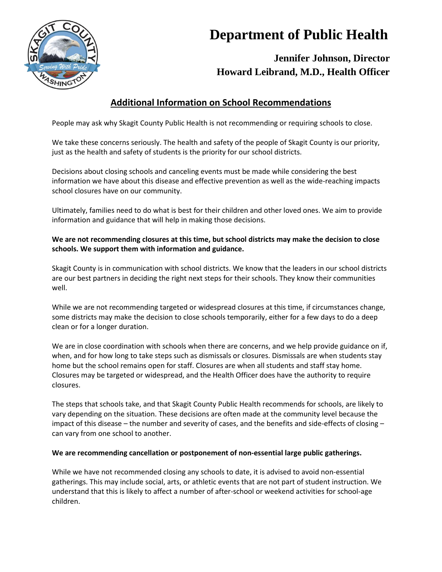

# **Department of Public Health**

## **Jennifer Johnson, Director Howard Leibrand, M.D., Health Officer**

### **Additional Information on School Recommendations**

People may ask why Skagit County Public Health is not recommending or requiring schools to close.

We take these concerns seriously. The health and safety of the people of Skagit County is our priority, just as the health and safety of students is the priority for our school districts.

Decisions about closing schools and canceling events must be made while considering the best information we have about this disease and effective prevention as well as the wide-reaching impacts school closures have on our community.

Ultimately, families need to do what is best for their children and other loved ones. We aim to provide information and guidance that will help in making those decisions.

#### **We are not recommending closures at this time, but school districts may make the decision to close schools. We support them with information and guidance.**

Skagit County is in communication with school districts. We know that the leaders in our school districts are our best partners in deciding the right next steps for their schools. They know their communities well.

While we are not recommending targeted or widespread closures at this time, if circumstances change, some districts may make the decision to close schools temporarily, either for a few days to do a deep clean or for a longer duration.

We are in close coordination with schools when there are concerns, and we help provide guidance on if, when, and for how long to take steps such as dismissals or closures. Dismissals are when students stay home but the school remains open for staff. Closures are when all students and staff stay home. Closures may be targeted or widespread, and the Health Officer does have the authority to require closures.

The steps that schools take, and that Skagit County Public Health recommends for schools, are likely to vary depending on the situation. These decisions are often made at the community level because the impact of this disease – the number and severity of cases, and the benefits and side-effects of closing – can vary from one school to another.

#### **We are recommending cancellation or postponement of non-essential large public gatherings.**

While we have not recommended closing any schools to date, it is advised to avoid non-essential gatherings. This may include social, arts, or athletic events that are not part of student instruction. We understand that this is likely to affect a number of after-school or weekend activities for school-age children.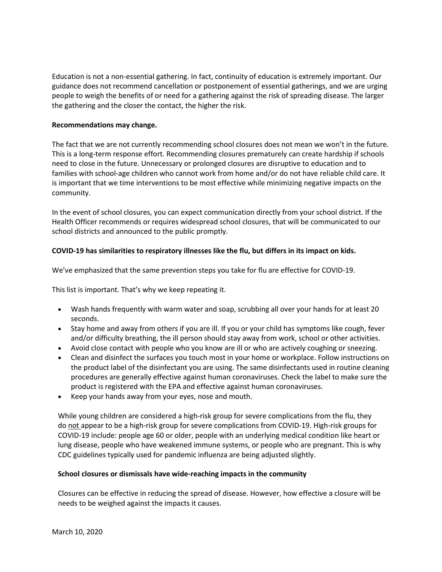Education is not a non-essential gathering. In fact, continuity of education is extremely important. Our guidance does not recommend cancellation or postponement of essential gatherings, and we are urging people to weigh the benefits of or need for a gathering against the risk of spreading disease. The larger the gathering and the closer the contact, the higher the risk.

#### **Recommendations may change.**

The fact that we are not currently recommending school closures does not mean we won't in the future. This is a long-term response effort. Recommending closures prematurely can create hardship if schools need to close in the future. Unnecessary or prolonged closures are disruptive to education and to families with school-age children who cannot work from home and/or do not have reliable child care. It is important that we time interventions to be most effective while minimizing negative impacts on the community.

In the event of school closures, you can expect communication directly from your school district. If the Health Officer recommends or requires widespread school closures, that will be communicated to our school districts and announced to the public promptly.

#### **COVID-19 has similarities to respiratory illnesses like the flu, but differs in its impact on kids.**

We've emphasized that the same prevention steps you take for flu are effective for COVID-19.

This list is important. That's why we keep repeating it.

- Wash hands frequently with warm water and soap, scrubbing all over your hands for at least 20 seconds.
- Stay home and away from others if you are ill. If you or your child has symptoms like cough, fever and/or difficulty breathing, the ill person should stay away from work, school or other activities.
- Avoid close contact with people who you know are ill or who are actively coughing or sneezing.
- Clean and disinfect the surfaces you touch most in your home or workplace. Follow instructions on the product label of the disinfectant you are using. The same disinfectants used in routine cleaning procedures are generally effective against human coronaviruses. Check the label to make sure the product is registered with the EPA and effective against human coronaviruses.
- Keep your hands away from your eyes, nose and mouth.

While young children are considered a high-risk group for severe complications from the flu, they do not appear to be a high-risk group for severe complications from COVID-19. High-risk groups for COVID-19 include: people age 60 or older, people with an underlying medical condition like heart or lung disease, people who have weakened immune systems, or people who are pregnant. This is why CDC guidelines typically used for pandemic influenza are being adjusted slightly.

#### **School closures or dismissals have wide-reaching impacts in the community**

Closures can be effective in reducing the spread of disease. However, how effective a closure will be needs to be weighed against the impacts it causes.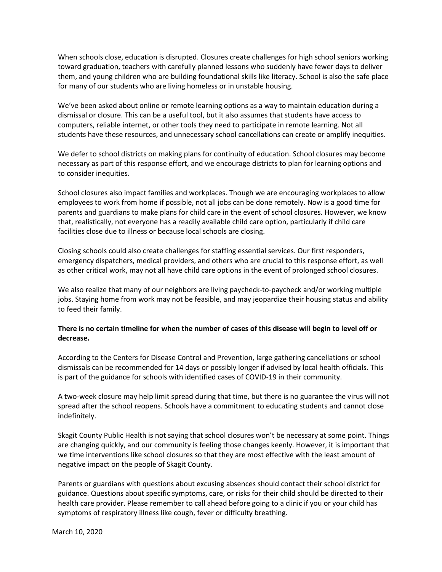When schools close, education is disrupted. Closures create challenges for high school seniors working toward graduation, teachers with carefully planned lessons who suddenly have fewer days to deliver them, and young children who are building foundational skills like literacy. School is also the safe place for many of our students who are living homeless or in unstable housing.

We've been asked about online or remote learning options as a way to maintain education during a dismissal or closure. This can be a useful tool, but it also assumes that students have access to computers, reliable internet, or other tools they need to participate in remote learning. Not all students have these resources, and unnecessary school cancellations can create or amplify inequities.

We defer to school districts on making plans for continuity of education. School closures may become necessary as part of this response effort, and we encourage districts to plan for learning options and to consider inequities.

School closures also impact families and workplaces. Though we are encouraging workplaces to allow employees to work from home if possible, not all jobs can be done remotely. Now is a good time for parents and guardians to make plans for child care in the event of school closures. However, we know that, realistically, not everyone has a readily available child care option, particularly if child care facilities close due to illness or because local schools are closing.

Closing schools could also create challenges for staffing essential services. Our first responders, emergency dispatchers, medical providers, and others who are crucial to this response effort, as well as other critical work, may not all have child care options in the event of prolonged school closures.

We also realize that many of our neighbors are living paycheck-to-paycheck and/or working multiple jobs. Staying home from work may not be feasible, and may jeopardize their housing status and ability to feed their family.

#### There is no certain timeline for when the number of cases of this disease will begin to level off or **decrease.**

According to the Centers for Disease Control and Prevention, large gathering cancellations or school dismissals can be recommended for 14 days or possibly longer if advised by local health officials. This is part of the guidance for schools with identified cases of COVID-19 in their community.

A two-week closure may help limit spread during that time, but there is no guarantee the virus will not spread after the school reopens. Schools have a commitment to educating students and cannot close indefinitely.

Skagit County Public Health is not saying that school closures won't be necessary at some point. Things are changing quickly, and our community is feeling those changes keenly. However, it is important that we time interventions like school closures so that they are most effective with the least amount of negative impact on the people of Skagit County.

Parents or guardians with questions about excusing absences should contact their school district for guidance. Questions about specific symptoms, care, or risks for their child should be directed to their health care provider. Please remember to call ahead before going to a clinic if you or your child has symptoms of respiratory illness like cough, fever or difficulty breathing.